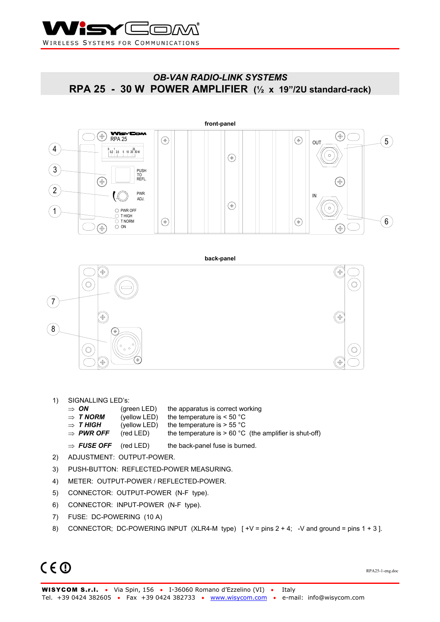

## *OB-VAN RADIO-LINK SYSTEMS*  **RPA 25 - 30 W POWER AMPLIFIER (½ x 19"/2U standard-rack)**



- 1) SIGNALLING LED's:
	- ⇒ *ON* (green LED) the apparatus is correct working
	- ⇒ *T NORM* (yellow LED) the temperature is < 50 °C
		- $\Rightarrow$  **T HIGH** (yellow LED) the temperature is > 55 °C
		- $\Rightarrow$  **PWR OFF** (red LED) the temperature is > 60 °C (the amplifier is shut-off)
	- ⇒ *FUSE OFF* (red LED) the back-panel fuse is burned.
- 2) ADJUSTMENT: OUTPUT-POWER.
- 3) PUSH-BUTTON: REFLECTED-POWER MEASURING.
- 4) METER: OUTPUT-POWER / REFLECTED-POWER.
- 5) CONNECTOR: OUTPUT-POWER (N-F type).
- 6) CONNECTOR: INPUT-POWER (N-F type).
- 7) FUSE: DC-POWERING (10 A)
- 8) CONNECTOR; DC-POWERING INPUT (XLR4-M type)  $\lceil +V = \text{pins } 2 + 4;$  -V and ground = pins 1 + 3 ].

# $C \in \mathbb{O}$

RPA25-1-eng.doc